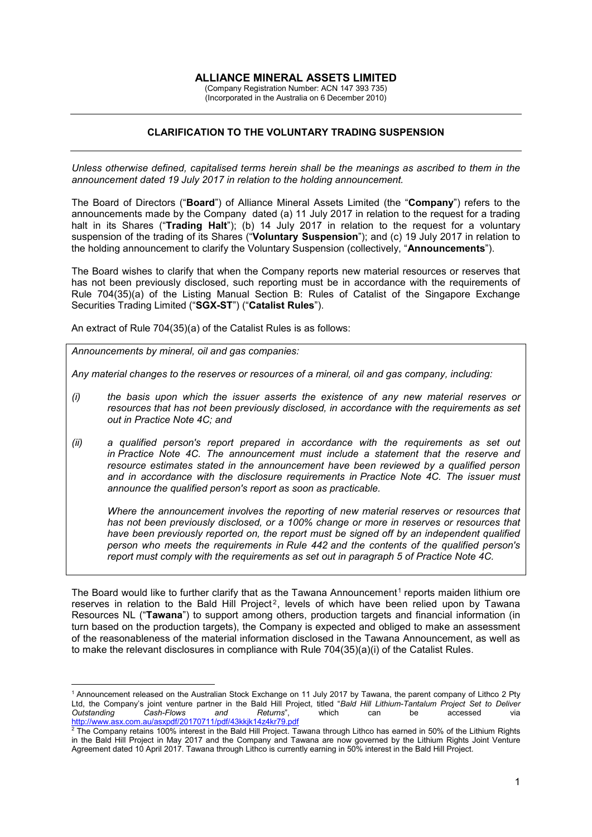## **ALLIANCE MINERAL ASSETS LIMITED**

(Company Registration Number: ACN 147 393 735) (Incorporated in the Australia on 6 December 2010)

## **CLARIFICATION TO THE VOLUNTARY TRADING SUSPENSION**

*Unless otherwise defined, capitalised terms herein shall be the meanings as ascribed to them in the announcement dated 19 July 2017 in relation to the holding announcement.*

The Board of Directors ("**Board**") of Alliance Mineral Assets Limited (the "**Company**") refers to the announcements made by the Company dated (a) 11 July 2017 in relation to the request for a trading halt in its Shares ("**Trading Halt**"); (b) 14 July 2017 in relation to the request for a voluntary suspension of the trading of its Shares ("**Voluntary Suspension**"); and (c) 19 July 2017 in relation to the holding announcement to clarify the Voluntary Suspension (collectively, "**Announcements**").

The Board wishes to clarify that when the Company reports new material resources or reserves that has not been previously disclosed, such reporting must be in accordance with the requirements of Rule 704(35)(a) of the Listing Manual Section B: Rules of Catalist of the Singapore Exchange Securities Trading Limited ("**SGX-ST**") ("**Catalist Rules**").

An extract of Rule 704(35)(a) of the Catalist Rules is as follows:

*Announcements by mineral, oil and gas companies:*

<u>.</u>

*Any material changes to the reserves or resources of a mineral, oil and gas company, including:*

- *(i) the basis upon which the issuer asserts the existence of any new material reserves or resources that has not been previously disclosed, in accordance with the requirements as set out in [Practice Note 4C;](http://rulebook.sgx.com/en/display/display.html?rbid=3271&element_id=5722) and*
- *(ii) a qualified person's report prepared in accordance with the requirements as set out in [Practice Note 4C.](http://rulebook.sgx.com/en/display/display.html?rbid=3271&element_id=5722) The announcement must include a statement that the reserve and resource estimates stated in the announcement have been reviewed by a qualified person and in accordance with the disclosure requirements in [Practice Note 4C.](http://rulebook.sgx.com/en/display/display.html?rbid=3271&element_id=5722) The issuer must announce the qualified person's report as soon as practicable.*

*Where the announcement involves the reporting of new material reserves or resources that has not been previously disclosed, or a 100% change or more in reserves or resources that have been previously reported on, the report must be signed off by an independent qualified person who meets the requirements in [Rule 442](http://rulebook.sgx.com/en/display/display.html?rbid=3271&element_id=5718) and the contents of the qualified person's report must comply with the requirements as set out in paragraph 5 of [Practice Note 4C.](http://rulebook.sgx.com/en/display/display.html?rbid=3271&element_id=5722)*

The Board would like to further clarify that as the Tawana Announcement<sup>[1](#page-0-0)</sup> reports maiden lithium ore reserves in relation to the Bald Hill Project<sup>[2](#page-0-1)</sup>, levels of which have been relied upon by Tawana Resources NL ("**Tawana**") to support among others, production targets and financial information (in turn based on the production targets), the Company is expected and obliged to make an assessment of the reasonableness of the material information disclosed in the Tawana Announcement, as well as to make the relevant disclosures in compliance with Rule 704(35)(a)(i) of the Catalist Rules.

<span id="page-0-0"></span><sup>1</sup> Announcement released on the Australian Stock Exchange on 11 July 2017 by Tawana, the parent company of Lithco 2 Pty Ltd, the Company's joint venture partner in the Bald Hill Project, titled "*Bald Hill Lithium-Tantalum Project Set to Deliver Outstanding Cash-Flows and Returns*", which can be accessed via <http://www.asx.com.au/asxpdf/20170711/pdf/43kkjk14z4kr79.pdf>

<span id="page-0-1"></span> $\frac{2}{3}$  The Company retains 100% interest in the Bald Hill Project. Tawana through Lithco has earned in 50% of the Lithium Rights in the Bald Hill Project in May 2017 and the Company and Tawana are now governed by the Lithium Rights Joint Venture Agreement dated 10 April 2017. Tawana through Lithco is currently earning in 50% interest in the Bald Hill Project.